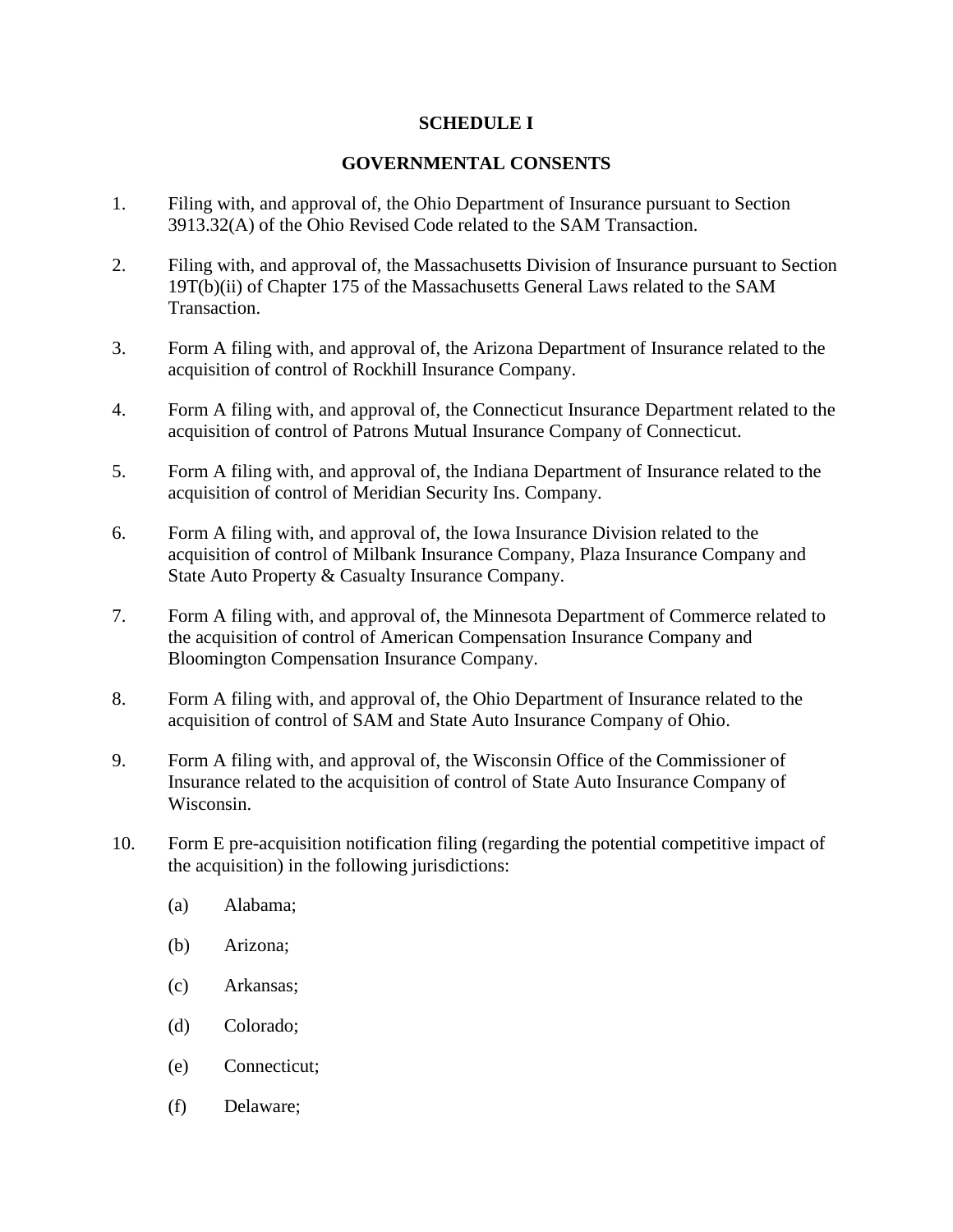## **SCHEDULE I**

## **GOVERNMENTAL CONSENTS**

- 1. Filing with, and approval of, the Ohio Department of Insurance pursuant to Section 3913.32(A) of the Ohio Revised Code related to the SAM Transaction.
- 2. Filing with, and approval of, the Massachusetts Division of Insurance pursuant to Section 19T(b)(ii) of Chapter 175 of the Massachusetts General Laws related to the SAM Transaction.
- 3. Form A filing with, and approval of, the Arizona Department of Insurance related to the acquisition of control of Rockhill Insurance Company.
- 4. Form A filing with, and approval of, the Connecticut Insurance Department related to the acquisition of control of Patrons Mutual Insurance Company of Connecticut.
- 5. Form A filing with, and approval of, the Indiana Department of Insurance related to the acquisition of control of Meridian Security Ins. Company.
- 6. Form A filing with, and approval of, the Iowa Insurance Division related to the acquisition of control of Milbank Insurance Company, Plaza Insurance Company and State Auto Property & Casualty Insurance Company.
- 7. Form A filing with, and approval of, the Minnesota Department of Commerce related to the acquisition of control of American Compensation Insurance Company and Bloomington Compensation Insurance Company.
- 8. Form A filing with, and approval of, the Ohio Department of Insurance related to the acquisition of control of SAM and State Auto Insurance Company of Ohio.
- 9. Form A filing with, and approval of, the Wisconsin Office of the Commissioner of Insurance related to the acquisition of control of State Auto Insurance Company of Wisconsin.
- 10. Form E pre-acquisition notification filing (regarding the potential competitive impact of the acquisition) in the following jurisdictions:
	- (a) Alabama;
	- (b) Arizona;
	- (c) Arkansas;
	- (d) Colorado;
	- (e) Connecticut;
	- (f) Delaware;